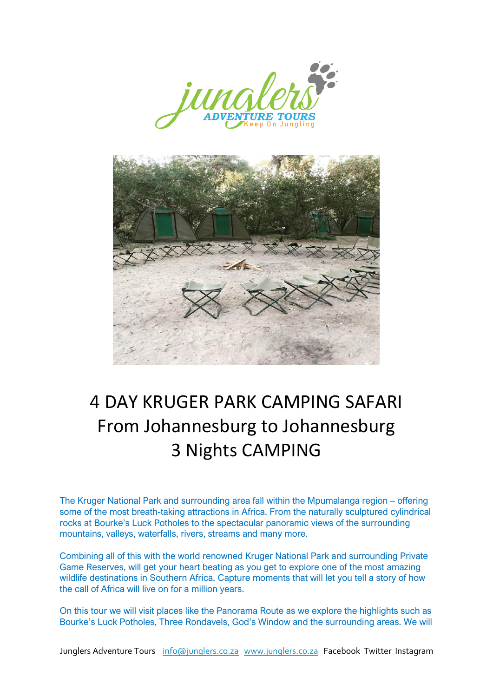



# 4 DAY KRUGER PARK CAMPING SAFARI From Johannesburg to Johannesburg 3 Nights CAMPING

The Kruger National Park and surrounding area fall within the Mpumalanga region – offering some of the most breath-taking attractions in Africa. From the naturally sculptured cylindrical rocks at Bourke's Luck Potholes to the spectacular panoramic views of the surrounding mountains, valleys, waterfalls, rivers, streams and many more.

Combining all of this with the world renowned Kruger National Park and surrounding Private Game Reserves, will get your heart beating as you get to explore one of the most amazing wildlife destinations in Southern Africa. Capture moments that will let you tell a story of how the call of Africa will live on for a million years.

On this tour we will visit places like the Panorama Route as we explore the highlights such as Bourke's Luck Potholes, Three Rondavels, God's Window and the surrounding areas. We will

Junglers Adventure Tours info@junglers.co.za www.junglers.co.za Facebook Twitter Instagram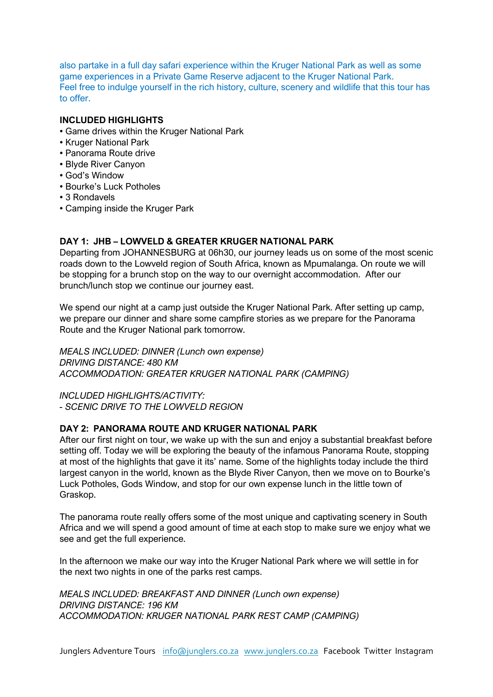also partake in a full day safari experience within the Kruger National Park as well as some game experiences in a Private Game Reserve adjacent to the Kruger National Park. Feel free to indulge yourself in the rich history, culture, scenery and wildlife that this tour has to offer.

## **INCLUDED HIGHLIGHTS**

- Game drives within the Kruger National Park
- Kruger National Park
- Panorama Route drive
- Blyde River Canyon
- God's Window
- Bourke's Luck Potholes
- 3 Rondavels
- Camping inside the Kruger Park

### **DAY 1: JHB – LOWVELD & GREATER KRUGER NATIONAL PARK**

Departing from JOHANNESBURG at 06h30, our journey leads us on some of the most scenic roads down to the Lowveld region of South Africa, known as Mpumalanga. On route we will be stopping for a brunch stop on the way to our overnight accommodation. After our brunch/lunch stop we continue our journey east.

We spend our night at a camp just outside the Kruger National Park. After setting up camp, we prepare our dinner and share some campfire stories as we prepare for the Panorama Route and the Kruger National park tomorrow.

*MEALS INCLUDED: DINNER (Lunch own expense) DRIVING DISTANCE: 480 KM ACCOMMODATION: GREATER KRUGER NATIONAL PARK (CAMPING)*

*INCLUDED HIGHLIGHTS/ACTIVITY: - SCENIC DRIVE TO THE LOWVELD REGION*

## **DAY 2: PANORAMA ROUTE AND KRUGER NATIONAL PARK**

After our first night on tour, we wake up with the sun and enjoy a substantial breakfast before setting off. Today we will be exploring the beauty of the infamous Panorama Route, stopping at most of the highlights that gave it its' name. Some of the highlights today include the third largest canyon in the world, known as the Blyde River Canyon, then we move on to Bourke's Luck Potholes, Gods Window, and stop for our own expense lunch in the little town of Graskop.

The panorama route really offers some of the most unique and captivating scenery in South Africa and we will spend a good amount of time at each stop to make sure we enjoy what we see and get the full experience.

In the afternoon we make our way into the Kruger National Park where we will settle in for the next two nights in one of the parks rest camps.

*MEALS INCLUDED: BREAKFAST AND DINNER (Lunch own expense) DRIVING DISTANCE: 196 KM ACCOMMODATION: KRUGER NATIONAL PARK REST CAMP (CAMPING)*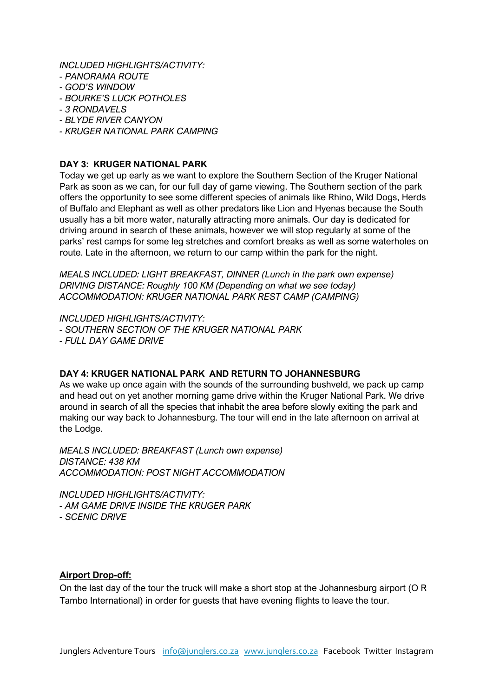*INCLUDED HIGHLIGHTS/ACTIVITY:* 

- *- PANORAMA ROUTE*
- *- GOD'S WINDOW*
- *- BOURKE'S LUCK POTHOLES*
- *- 3 RONDAVELS*
- *- BLYDE RIVER CANYON*
- *- KRUGER NATIONAL PARK CAMPING*

# **DAY 3: KRUGER NATIONAL PARK**

Today we get up early as we want to explore the Southern Section of the Kruger National Park as soon as we can, for our full day of game viewing. The Southern section of the park offers the opportunity to see some different species of animals like Rhino, Wild Dogs, Herds of Buffalo and Elephant as well as other predators like Lion and Hyenas because the South usually has a bit more water, naturally attracting more animals. Our day is dedicated for driving around in search of these animals, however we will stop regularly at some of the parks' rest camps for some leg stretches and comfort breaks as well as some waterholes on route. Late in the afternoon, we return to our camp within the park for the night.

*MEALS INCLUDED: LIGHT BREAKFAST, DINNER (Lunch in the park own expense) DRIVING DISTANCE: Roughly 100 KM (Depending on what we see today) ACCOMMODATION: KRUGER NATIONAL PARK REST CAMP (CAMPING)*

*INCLUDED HIGHLIGHTS/ACTIVITY: - SOUTHERN SECTION OF THE KRUGER NATIONAL PARK - FULL DAY GAME DRIVE*

## **DAY 4: KRUGER NATIONAL PARK AND RETURN TO JOHANNESBURG**

As we wake up once again with the sounds of the surrounding bushveld, we pack up camp and head out on yet another morning game drive within the Kruger National Park. We drive around in search of all the species that inhabit the area before slowly exiting the park and making our way back to Johannesburg. The tour will end in the late afternoon on arrival at the Lodge.

*MEALS INCLUDED: BREAKFAST (Lunch own expense) DISTANCE: 438 KM ACCOMMODATION: POST NIGHT ACCOMMODATION* 

*INCLUDED HIGHLIGHTS/ACTIVITY: - AM GAME DRIVE INSIDE THE KRUGER PARK - SCENIC DRIVE*

## **Airport Drop-off:**

On the last day of the tour the truck will make a short stop at the Johannesburg airport (O R Tambo International) in order for guests that have evening flights to leave the tour.